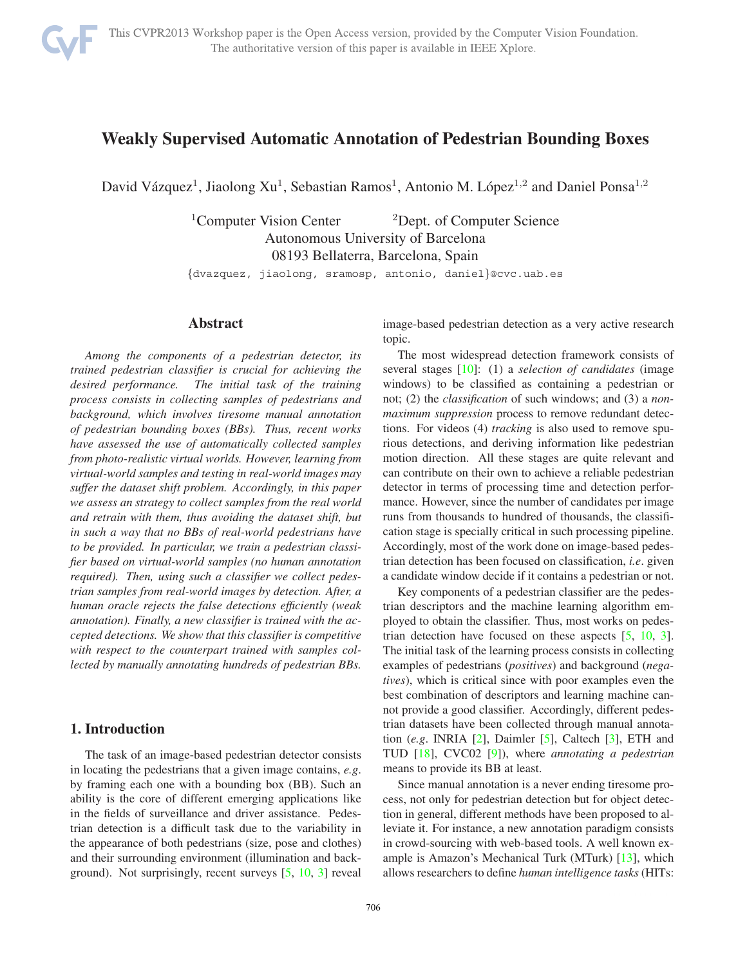

# **Weakly Supervised Automatic Annotation of Pedestrian Bounding Boxes**

David Vázquez<sup>1</sup>, Jiaolong Xu<sup>1</sup>, Sebastian Ramos<sup>1</sup>, Antonio M. López<sup>1,2</sup> and Daniel Ponsa<sup>1,2</sup>

 $1$ Computer Vision Center  $2$ Dept. of Computer Science Autonomous University of Barcelona 08193 Bellaterra, Barcelona, Spain

{dvazquez, jiaolong, sramosp, antonio, daniel}@cvc.uab.es

## **Abstract**

*Among the components of a pedestrian detector, its trained pedestrian classifier is crucial for achieving the desired performance. The initial task of the training process consists in collecting samples of pedestrians and background, which involves tiresome manual annotation of pedestrian bounding boxes (BBs). Thus, recent works have assessed the use of automatically collected samples from photo-realistic virtual worlds. However, learning from virtual-world samples and testing in real-world images may suffer the dataset shift problem. Accordingly, in this paper we assess an strategy to collect samples from the real world and retrain with them, thus avoiding the dataset shift, but in such a way that no BBs of real-world pedestrians have to be provided. In particular, we train a pedestrian classifier based on virtual-world samples (no human annotation required). Then, using such a classifier we collect pedestrian samples from real-world images by detection. After, a human oracle rejects the false detections efficiently (weak annotation). Finally, a new classifier is trained with the accepted detections. We show that this classifier is competitive with respect to the counterpart trained with samples collected by manually annotating hundreds of pedestrian BBs.*

## **1. Introduction**

The task of an image-based pedestrian detector consists in locating the pedestrians that a given image contains, *e.g*. by framing each one with a bounding box (BB). Such an ability is the core of different emerging applications like in the fields of surveillance and driver assistance. Pedestrian detection is a difficult task due to the variability in the appearance of both pedestrians (size, pose and clothes) and their surrounding environment (illumination and background). Not surprisingly, recent surveys [5, 10, 3] reveal image-based pedestrian detection as a very active research topic.

The most widespread detection framework consists of several stages [10]: (1) a *selection of candidates* (image windows) to be classified as containing a pedestrian or not; (2) the *classification* of such windows; and (3) a *nonmaximum suppression* process to remove redundant detections. For videos (4) *tracking* is also used to remove spurious detections, and deriving information like pedestrian motion direction. All these stages are quite relevant and can contribute on their own to achieve a reliable pedestrian detector in terms of processing time and detection performance. However, since the number of candidates per image runs from thousands to hundred of thousands, the classification stage is specially critical in such processing pipeline. Accordingly, most of the work done on image-based pedestrian detection has been focused on classification, *i.e*. given a candidate window decide if it contains a pedestrian or not.

Key components of a pedestrian classifier are the pedestrian descriptors and the machine learning algorithm employed to obtain the classifier. Thus, most works on pedestrian detection have focused on these aspects [5, 10, 3]. The initial task of the learning process consists in collecting examples of pedestrians (*positives*) and background (*negatives*), which is critical since with poor examples even the best combination of descriptors and learning machine cannot provide a good classifier. Accordingly, different pedestrian datasets have been collected through manual annotation (*e.g*. INRIA [2], Daimler [5], Caltech [3], ETH and TUD [18], CVC02 [9]), where *annotating a pedestrian* means to provide its BB at least.

Since manual annotation is a never ending tiresome process, not only for pedestrian detection but for object detection in general, different methods have been proposed to alleviate it. For instance, a new annotation paradigm consists in crowd-sourcing with web-based tools. A well known example is Amazon's Mechanical Turk (MTurk) [13], which allows researchers to define *human intelligence tasks* (HITs: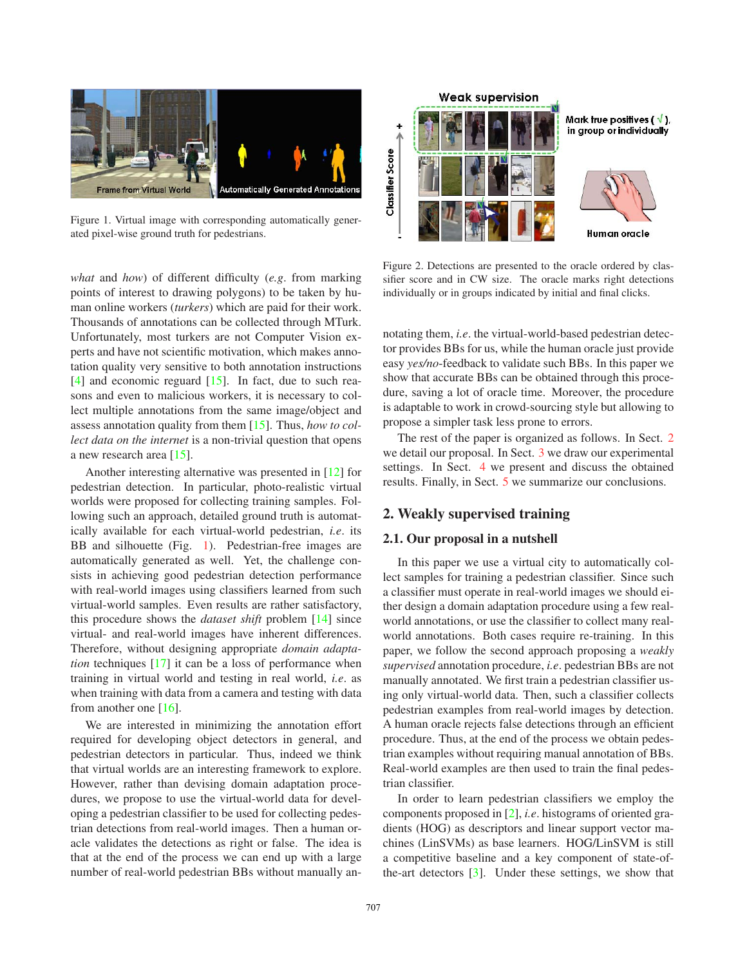

Figure 1. Virtual image with corresponding automatically generated pixel-wise ground truth for pedestrians.

*what* and *how*) of different difficulty (*e.g*. from marking points of interest to drawing polygons) to be taken by human online workers (*turkers*) which are paid for their work. Thousands of annotations can be collected through MTurk. Unfortunately, most turkers are not Computer Vision experts and have not scientific motivation, which makes annotation quality very sensitive to both annotation instructions [4] and economic reguard [15]. In fact, due to such reasons and even to malicious workers, it is necessary to collect multiple annotations from the same image/object and assess annotation quality from them [15]. Thus, *how to collect data on the internet* is a non-trivial question that opens a new research area [15].

Another interesting alternative was presented in [12] for pedestrian detection. In particular, photo-realistic virtual worlds were proposed for collecting training samples. Following such an approach, detailed ground truth is automatically available for each virtual-world pedestrian, *i.e*. its BB and silhouette (Fig. 1). Pedestrian-free images are automatically generated as well. Yet, the challenge consists in achieving good pedestrian detection performance with real-world images using classifiers learned from such virtual-world samples. Even results are rather satisfactory, this procedure shows the *dataset shift* problem [14] since virtual- and real-world images have inherent differences. Therefore, without designing appropriate *domain adaptation* techniques [17] it can be a loss of performance when training in virtual world and testing in real world, *i.e*. as when training with data from a camera and testing with data from another one [16].

We are interested in minimizing the annotation effort required for developing object detectors in general, and pedestrian detectors in particular. Thus, indeed we think that virtual worlds are an interesting framework to explore. However, rather than devising domain adaptation procedures, we propose to use the virtual-world data for developing a pedestrian classifier to be used for collecting pedestrian detections from real-world images. Then a human oracle validates the detections as right or false. The idea is that at the end of the process we can end up with a large number of real-world pedestrian BBs without manually an-



Figure 2. Detections are presented to the oracle ordered by classifier score and in CW size. The oracle marks right detections individually or in groups indicated by initial and final clicks.

notating them, *i.e*. the virtual-world-based pedestrian detector provides BBs for us, while the human oracle just provide easy *yes/no*-feedback to validate such BBs. In this paper we show that accurate BBs can be obtained through this procedure, saving a lot of oracle time. Moreover, the procedure is adaptable to work in crowd-sourcing style but allowing to propose a simpler task less prone to errors.

The rest of the paper is organized as follows. In Sect. 2 we detail our proposal. In Sect. 3 we draw our experimental settings. In Sect. 4 we present and discuss the obtained results. Finally, in Sect. 5 we summarize our conclusions.

# **2. Weakly supervised training**

#### **2.1. Our proposal in a nutshell**

In this paper we use a virtual city to automatically collect samples for training a pedestrian classifier. Since such a classifier must operate in real-world images we should either design a domain adaptation procedure using a few realworld annotations, or use the classifier to collect many realworld annotations. Both cases require re-training. In this paper, we follow the second approach proposing a *weakly supervised* annotation procedure, *i.e*. pedestrian BBs are not manually annotated. We first train a pedestrian classifier using only virtual-world data. Then, such a classifier collects pedestrian examples from real-world images by detection. A human oracle rejects false detections through an efficient procedure. Thus, at the end of the process we obtain pedestrian examples without requiring manual annotation of BBs. Real-world examples are then used to train the final pedestrian classifier.

In order to learn pedestrian classifiers we employ the components proposed in [2], *i.e*. histograms of oriented gradients (HOG) as descriptors and linear support vector machines (LinSVMs) as base learners. HOG/LinSVM is still a competitive baseline and a key component of state-ofthe-art detectors  $\lceil 3 \rceil$ . Under these settings, we show that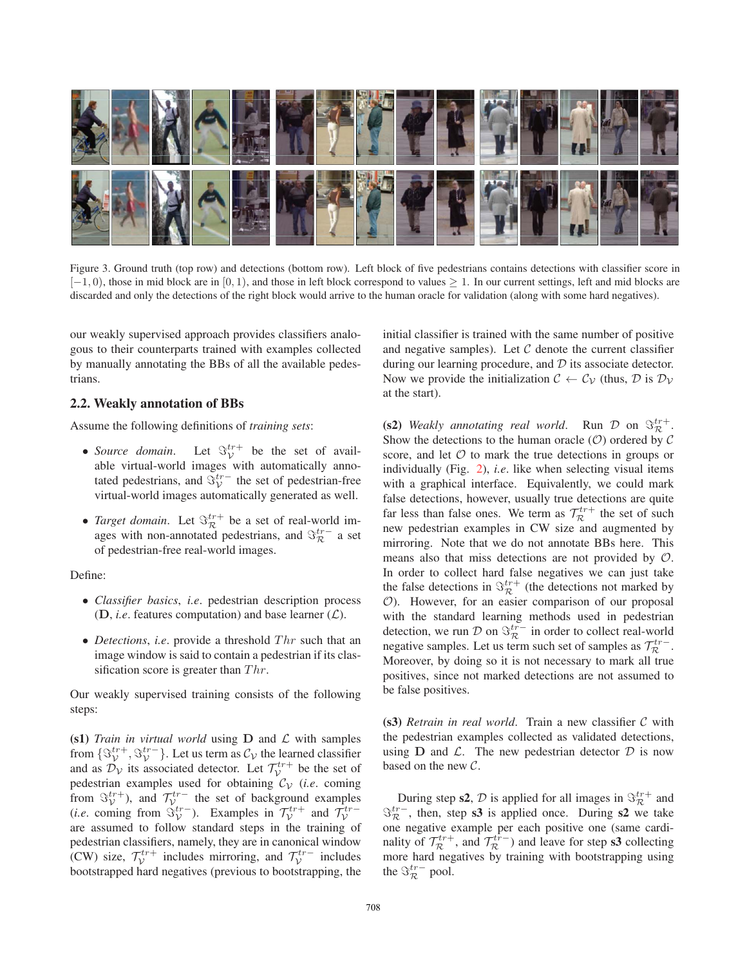

Figure 3. Ground truth (top row) and detections (bottom row). Left block of five pedestrians contains detections with classifier score in  $[-1, 0)$ , those in mid block are in  $[0, 1)$ , and those in left block correspond to values  $\geq 1$ . In our current settings, left and mid blocks are discarded and only the detections of the right block would arrive to the human oracle for validation (along with some hard negatives).

our weakly supervised approach provides classifiers analogous to their counterparts trained with examples collected by manually annotating the BBs of all the available pedestrians.

#### **2.2. Weakly annotation of BBs**

Assume the following definitions of *training sets*:

- *Source domain*. Let  $\Im_{\mathcal{V}}^{tr+}$  be the set of available virtual-world images with automatically annotated pedestrians, and  $\Im_V^{tr-}$  the set of pedestrian-free virtual-world images automatically generated as well.
- *Target domain*. Let  $\mathcal{S}_{\mathcal{R}}^{tr+}$  be a set of real-world images with non-annotated pedestrians, and  $\Im^{tr-}_{\mathcal{R}}$  a set of pedestrian-free real-world images.

Define:

- ∙ *Classifier basics*, *i.e*. pedestrian description process  $(D, i.e.$  features computation) and base learner  $(L)$ .
- *Detections*, *i.e.* provide a threshold  $Thr$  such that an image window is said to contain a pedestrian if its classification score is greater than  $Thr$ .

Our weakly supervised training consists of the following steps:

**(s1)** *Train in virtual world* using  $D$  and  $L$  with samples from  $\{\mathcal{S}_{\mathcal{V}}^{tr+}, \mathcal{S}_{\mathcal{V}}^{tr-}\}$ . Let us term as  $\mathcal{C}_{\mathcal{V}}$  the learned classifier and as  $\mathcal{D}_V$  its associated detector. Let  $\mathcal{T}_V^{tr+}$  be the set of pedestrian examples used for obtaining  $C_V$  (*i.e.* coming from  $\mathfrak{S}_{\mathcal{V}}^{tr+}$ ), and  $\mathcal{T}_{\mathcal{V}}^{tr-}$  the set of background examples<br>(*i.e.* coming from  $\mathfrak{S}_{\mathcal{V}}^{tr-}$ ). Examples in  $\mathcal{T}_{\mathcal{V}}^{tr+}$  and  $\mathcal{T}_{\mathcal{V}}^{tr-}$ are assumed to follow standard steps in the training of pedestrian classifiers, namely, they are in canonical window (CW) size,  $\mathcal{T}_{\mathcal{V}}^{tr+}$  includes mirroring, and  $\mathcal{T}_{\mathcal{V}}^{tr-}$  includes bootstrapped hard negatives (previous to bootstrapping, the

initial classifier is trained with the same number of positive and negative samples). Let  $C$  denote the current classifier during our learning procedure, and  $D$  its associate detector. Now we provide the initialization  $C \leftarrow C_{\mathcal{V}}$  (thus,  $\mathcal{D}$  is  $\mathcal{D}_{\mathcal{V}}$ at the start).

**(s2)** *Weakly annotating real world.* Run  $\mathcal{D}$  on  $\mathcal{S}_{\mathcal{R}}^{tr+}$ . Show the detections to the human oracle  $(O)$  ordered by C score, and let  $\mathcal O$  to mark the true detections in groups or individually (Fig. 2), *i.e*. like when selecting visual items with a graphical interface. Equivalently, we could mark false detections, however, usually true detections are quite far less than false ones. We term as  $\mathcal{T}_{\mathcal{R}}^{tr+}$  the set of such new pedestrian examples in CW size and augmented by mirroring. Note that we do not annotate BBs here. This means also that miss detections are not provided by  $\mathcal{O}$ . In order to collect hard false negatives we can just take the false detections in  $\mathcal{S}_{\mathcal{R}}^{tr+}$  (the detections not marked by ). However, for an easier comparison of our proposal with the standard learning methods used in pedestrian detection, we run  $\mathcal{D}$  on  $\Im_{\mathcal{R}}^{tr-}$  in order to collect real-world negative samples. Let us term such set of samples as  $\mathcal{T}_{\mathcal{R}}^{tr}$ . Moreover, by doing so it is not necessary to mark all true positives, since not marked detections are not assumed to be false positives.

 $(s3)$  *Retrain in real world*. Train a new classifier  $C$  with the pedestrian examples collected as validated detections, using  $D$  and  $\mathcal{L}$ . The new pedestrian detector  $\mathcal{D}$  is now based on the new  $C$ .

During step **s2**,  $\mathcal{D}$  is applied for all images in  $\mathcal{S}_{\mathcal{R}}^{tr+}$  and  $\Im_{\mathcal{R}}^{tr-}$ , then, step **s3** is applied once. During **s2** we take one negative example per each positive one (same cardinality of  $\mathcal{T}_{\mathcal{R}}^{tr+}$ , and  $\mathcal{T}_{\mathcal{R}}^{tr-}$ ) and leave for step **s3** collecting more hard negatives by training with bootstrapping using the  $\Im_{\mathcal{R}}^{tr-}$  pool.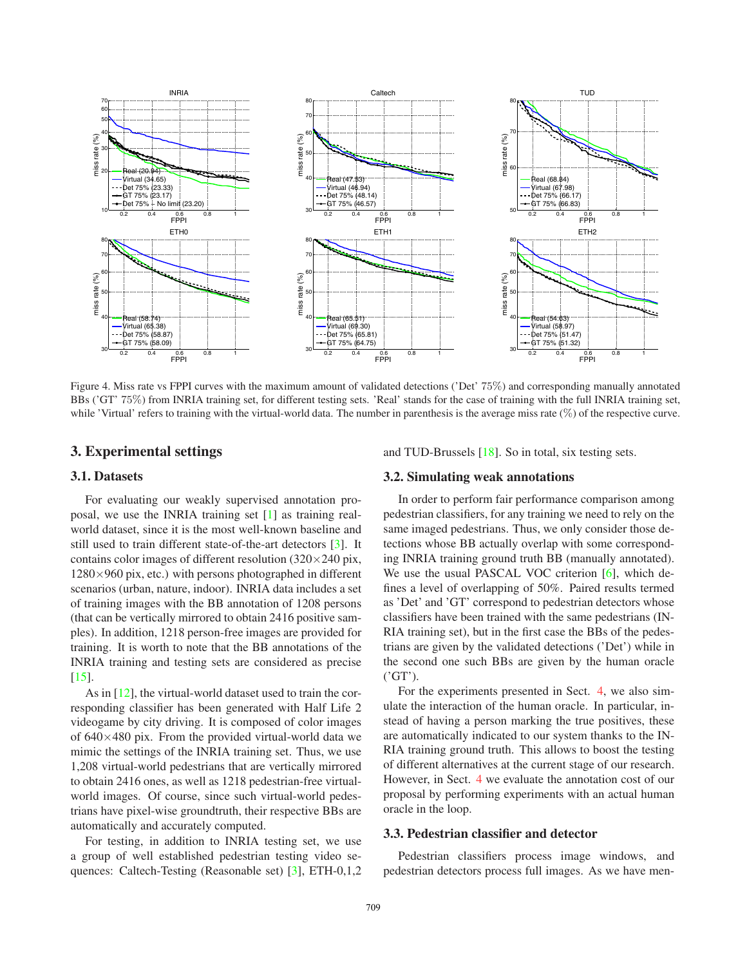

Figure 4. Miss rate vs FPPI curves with the maximum amount of validated detections ('Det' 75%) and corresponding manually annotated BBs ('GT' 75%) from INRIA training set, for different testing sets. 'Real' stands for the case of training with the full INRIA training set, while 'Virtual' refers to training with the virtual-world data. The number in parenthesis is the average miss rate  $(\%)$  of the respective curve.

#### **3. Experimental settings**

#### **3.1. Datasets**

For evaluating our weakly supervised annotation proposal, we use the INRIA training set [1] as training realworld dataset, since it is the most well-known baseline and still used to train different state-of-the-art detectors [3]. It contains color images of different resolution  $(320 \times 240)$  pix,  $1280\times960$  pix, etc.) with persons photographed in different scenarios (urban, nature, indoor). INRIA data includes a set of training images with the BB annotation of 1208 persons (that can be vertically mirrored to obtain 2416 positive samples). In addition, 1218 person-free images are provided for training. It is worth to note that the BB annotations of the INRIA training and testing sets are considered as precise [15].

As in [12], the virtual-world dataset used to train the corresponding classifier has been generated with Half Life 2 videogame by city driving. It is composed of color images of  $640\times480$  pix. From the provided virtual-world data we mimic the settings of the INRIA training set. Thus, we use 1,208 virtual-world pedestrians that are vertically mirrored to obtain 2416 ones, as well as 1218 pedestrian-free virtualworld images. Of course, since such virtual-world pedestrians have pixel-wise groundtruth, their respective BBs are automatically and accurately computed.

For testing, in addition to INRIA testing set, we use a group of well established pedestrian testing video sequences: Caltech-Testing (Reasonable set) [3], ETH-0,1,2 and TUD-Brussels [18]. So in total, six testing sets.

## **3.2. Simulating weak annotations**

In order to perform fair performance comparison among pedestrian classifiers, for any training we need to rely on the same imaged pedestrians. Thus, we only consider those detections whose BB actually overlap with some corresponding INRIA training ground truth BB (manually annotated). We use the usual PASCAL VOC criterion [6], which defines a level of overlapping of 50%. Paired results termed as 'Det' and 'GT' correspond to pedestrian detectors whose classifiers have been trained with the same pedestrians (IN-RIA training set), but in the first case the BBs of the pedestrians are given by the validated detections ('Det') while in the second one such BBs are given by the human oracle ('GT').

For the experiments presented in Sect. 4, we also simulate the interaction of the human oracle. In particular, instead of having a person marking the true positives, these are automatically indicated to our system thanks to the IN-RIA training ground truth. This allows to boost the testing of different alternatives at the current stage of our research. However, in Sect. 4 we evaluate the annotation cost of our proposal by performing experiments with an actual human oracle in the loop.

### **3.3. Pedestrian classifier and detector**

Pedestrian classifiers process image windows, and pedestrian detectors process full images. As we have men-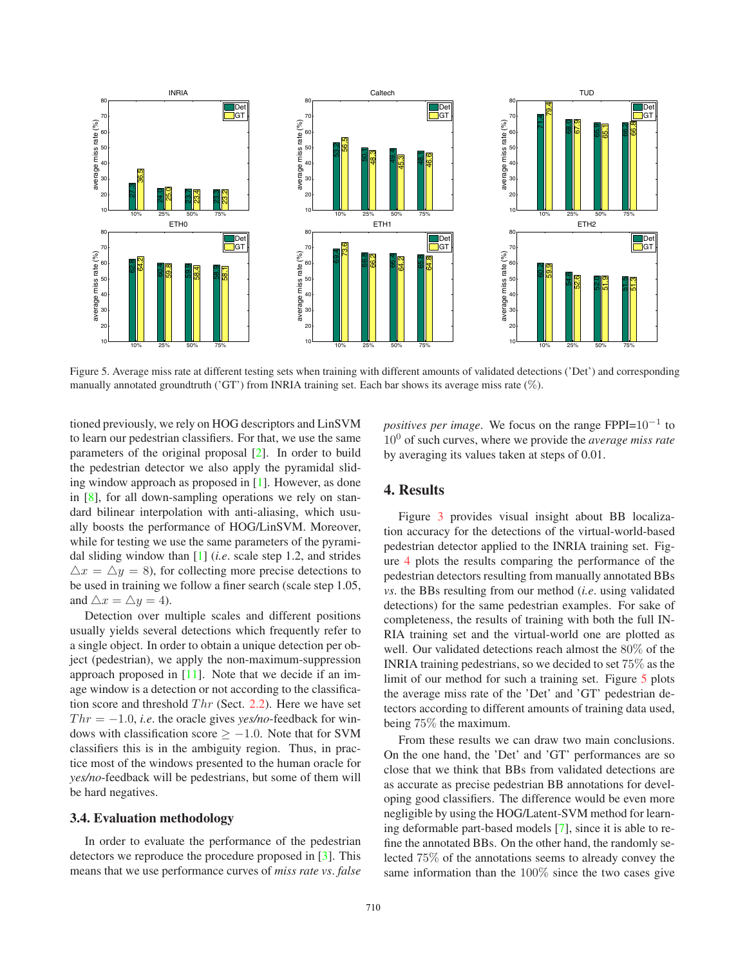

Figure 5. Average miss rate at different testing sets when training with different amounts of validated detections ('Det') and corresponding manually annotated groundtruth ('GT') from INRIA training set. Each bar shows its average miss rate (%).

tioned previously, we rely on HOG descriptors and LinSVM to learn our pedestrian classifiers. For that, we use the same parameters of the original proposal [2]. In order to build the pedestrian detector we also apply the pyramidal sliding window approach as proposed in [1]. However, as done in [8], for all down-sampling operations we rely on standard bilinear interpolation with anti-aliasing, which usually boosts the performance of HOG/LinSVM. Moreover, while for testing we use the same parameters of the pyramidal sliding window than [1] (*i.e*. scale step 1.2, and strides  $\Delta x = \Delta y = 8$ , for collecting more precise detections to be used in training we follow a finer search (scale step 1.05, and  $\triangle x = \triangle y = 4$ ).

Detection over multiple scales and different positions usually yields several detections which frequently refer to a single object. In order to obtain a unique detection per object (pedestrian), we apply the non-maximum-suppression approach proposed in [11]. Note that we decide if an image window is a detection or not according to the classification score and threshold  $Thr$  (Sect. 2.2). Here we have set  $Thr = -1.0$ , *i.e.* the oracle gives *yes/no*-feedback for windows with classification score  $\ge -1.0$ . Note that for SVM classifiers this is in the ambiguity region. Thus, in practice most of the windows presented to the human oracle for *yes/no*-feedback will be pedestrians, but some of them will be hard negatives.

### **3.4. Evaluation methodology**

In order to evaluate the performance of the pedestrian detectors we reproduce the procedure proposed in [3]. This means that we use performance curves of *miss rate vs*. *false* *positives per image.* We focus on the range FPPI=10<sup>-1</sup> to 10<sup>0</sup> of such curves, where we provide the *average miss rate* by averaging its values taken at steps of 0.01.

# **4. Results**

Figure 3 provides visual insight about BB localization accuracy for the detections of the virtual-world-based pedestrian detector applied to the INRIA training set. Figure 4 plots the results comparing the performance of the pedestrian detectors resulting from manually annotated BBs *vs*. the BBs resulting from our method (*i.e*. using validated detections) for the same pedestrian examples. For sake of completeness, the results of training with both the full IN-RIA training set and the virtual-world one are plotted as well. Our validated detections reach almost the 80% of the INRIA training pedestrians, so we decided to set 75% as the limit of our method for such a training set. Figure 5 plots the average miss rate of the 'Det' and 'GT' pedestrian detectors according to different amounts of training data used, being 75% the maximum.

From these results we can draw two main conclusions. On the one hand, the 'Det' and 'GT' performances are so close that we think that BBs from validated detections are as accurate as precise pedestrian BB annotations for developing good classifiers. The difference would be even more negligible by using the HOG/Latent-SVM method for learning deformable part-based models [7], since it is able to refine the annotated BBs. On the other hand, the randomly selected 75% of the annotations seems to already convey the same information than the 100% since the two cases give